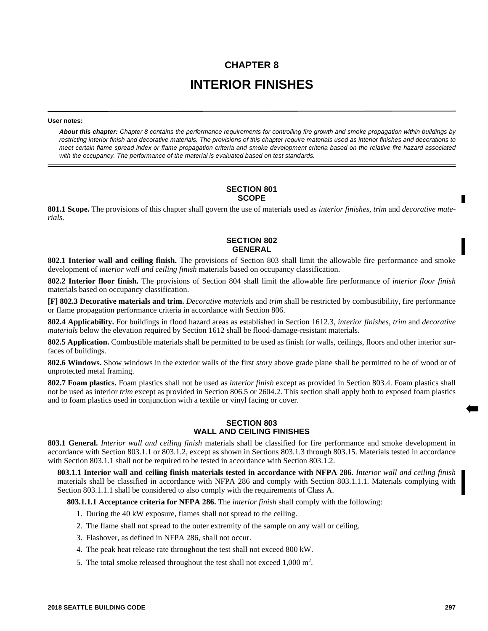# **CHAPTER 8 INTERIOR FINISHES**

#### **User notes:**

*About this chapter: Chapter 8 contains the performance requirements for controlling fire growth and smoke propagation within buildings by restricting interior finish and decorative materials. The provisions of this chapter require materials used as interior finishes and decorations to meet certain flame spread index or flame propagation criteria and smoke development criteria based on the relative fire hazard associated with the occupancy. The performance of the material is evaluated based on test standards.*

### **SECTION 801 SCOPE**

**801.1 Scope.** The provisions of this chapter shall govern the use of materials used as *interior finishes*, *trim* and *decorative materials*.

## **SECTION 802 GENERAL**

**802.1 Interior wall and ceiling finish.** The provisions of Section 803 shall limit the allowable fire performance and smoke development of *interior wall and ceiling finish* materials based on occupancy classification.

**802.2 Interior floor finish.** The provisions of Section 804 shall limit the allowable fire performance of *interior floor finish* materials based on occupancy classification.

**[F] 802.3 Decorative materials and trim.** *Decorative materials* and *trim* shall be restricted by combustibility, fire performance or flame propagation performance criteria in accordance with Section 806.

**802.4 Applicability.** For buildings in flood hazard areas as established in Section 1612.3, *interior finishes*, *trim* and *decorative materials* below the elevation required by Section 1612 shall be flood-damage-resistant materials.

**802.5 Application.** Combustible materials shall be permitted to be used as finish for walls, ceilings, floors and other interior surfaces of buildings.

**802.6 Windows.** Show windows in the exterior walls of the first *story* above grade plane shall be permitted to be of wood or of unprotected metal framing.

**802.7 Foam plastics.** Foam plastics shall not be used as *interior finish* except as provided in Section 803.4. Foam plastics shall not be used as interior *trim* except as provided in Section 806.5 or 2604.2. This section shall apply both to exposed foam plastics and to foam plastics used in conjunction with a textile or vinyl facing or cover.

# **SECTION 803 WALL AND CEILING FINISHES**

**803.1 General.** *Interior wall and ceiling finish* materials shall be classified for fire performance and smoke development in accordance with Section 803.1.1 or 803.1.2, except as shown in Sections 803.1.3 through 803.15. Materials tested in accordance with Section 803.1.1 shall not be required to be tested in accordance with Section 803.1.2.

**803.1.1 Interior wall and ceiling finish materials tested in accordance with NFPA 286.** *Interior wall and ceiling finish* materials shall be classified in accordance with NFPA 286 and comply with Section 803.1.1.1. Materials complying with Section 803.1.1.1 shall be considered to also comply with the requirements of Class A.

**803.1.1.1 Acceptance criteria for NFPA 286.** The *interior finish* shall comply with the following:

- 1. During the 40 kW exposure, flames shall not spread to the ceiling.
- 2. The flame shall not spread to the outer extremity of the sample on any wall or ceiling.
- 3. Flashover, as defined in NFPA 286, shall not occur.
- 4. The peak heat release rate throughout the test shall not exceed 800 kW.
- 5. The total smoke released throughout the test shall not exceed  $1,000 \text{ m}^2$ .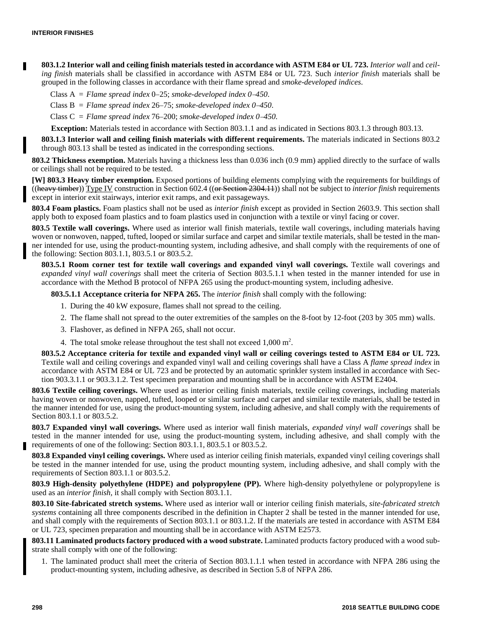**803.1.2 Interior wall and ceiling finish materials tested in accordance with ASTM E84 or UL 723.** *Interior wall* and *ceiling finish* materials shall be classified in accordance with ASTM E84 or UL 723. Such *interior finish* materials shall be grouped in the following classes in accordance with their flame spread and *smoke-developed indices*.

Class  $A =$  *Flame spread index* 0–25; *smoke-developed index* 0–450.

Class  $B =$  *Flame spread index 26–75; smoke-developed index 0–450.* 

Class  $C =$  *Flame spread index* 76–200; *smoke-developed index* 0–450.

**Exception:** Materials tested in accordance with Section 803.1.1 and as indicated in Sections 803.1.3 through 803.13.

**803.1.3 Interior wall and ceiling finish materials with different requirements.** The materials indicated in Sections 803.2 through 803.13 shall be tested as indicated in the corresponding sections.

**803.2 Thickness exemption.** Materials having a thickness less than 0.036 inch (0.9 mm) applied directly to the surface of walls or ceilings shall not be required to be tested.

**[W] 803.3 Heavy timber exemption.** Exposed portions of building elements complying with the requirements for buildings of ((heavy timber)) Type IV construction in Section 602.4 ((or Section 2304.11)) shall not be subject to *interior finish* requirements except in interior exit stairways, interior exit ramps, and exit passageways.

**803.4 Foam plastics.** Foam plastics shall not be used as *interior finish* except as provided in Section 2603.9. This section shall apply both to exposed foam plastics and to foam plastics used in conjunction with a textile or vinyl facing or cover.

**803.5 Textile wall coverings.** Where used as interior wall finish materials, textile wall coverings, including materials having woven or nonwoven, napped, tufted, looped or similar surface and carpet and similar textile materials, shall be tested in the manner intended for use, using the product-mounting system, including adhesive, and shall comply with the requirements of one of the following: Section 803.1.1, 803.5.1 or 803.5.2.

**803.5.1 Room corner test for textile wall coverings and expanded vinyl wall coverings.** Textile wall coverings and *expanded vinyl wall coverings* shall meet the criteria of Section 803.5.1.1 when tested in the manner intended for use in accordance with the Method B protocol of NFPA 265 using the product-mounting system, including adhesive.

**803.5.1.1 Acceptance criteria for NFPA 265.** The *interior finish* shall comply with the following:

- 1. During the 40 kW exposure, flames shall not spread to the ceiling.
- 2. The flame shall not spread to the outer extremities of the samples on the 8-foot by 12-foot (203 by 305 mm) walls.
- 3. Flashover, as defined in NFPA 265, shall not occur.
- 4. The total smoke release throughout the test shall not exceed  $1,000 \text{ m}^2$ .

**803.5.2 Acceptance criteria for textile and expanded vinyl wall or ceiling coverings tested to ASTM E84 or UL 723.** Textile wall and ceiling coverings and expanded vinyl wall and ceiling coverings shall have a Class A *flame spread index* in accordance with ASTM E84 or UL 723 and be protected by an automatic sprinkler system installed in accordance with Section 903.3.1.1 or 903.3.1.2. Test specimen preparation and mounting shall be in accordance with ASTM E2404.

**803.6 Textile ceiling coverings.** Where used as interior ceiling finish materials, textile ceiling coverings, including materials having woven or nonwoven, napped, tufted, looped or similar surface and carpet and similar textile materials, shall be tested in the manner intended for use, using the product-mounting system, including adhesive, and shall comply with the requirements of Section 803.1.1 or 803.5.2.

**803.7 Expanded vinyl wall coverings.** Where used as interior wall finish materials, *expanded vinyl wall coverings* shall be tested in the manner intended for use, using the product-mounting system, including adhesive, and shall comply with the requirements of one of the following: Section 803.1.1, 803.5.1 or 803.5.2.

**803.8 Expanded vinyl ceiling coverings.** Where used as interior ceiling finish materials, expanded vinyl ceiling coverings shall be tested in the manner intended for use, using the product mounting system, including adhesive, and shall comply with the requirements of Section 803.1.1 or 803.5.2.

**803.9 High-density polyethylene (HDPE) and polypropylene (PP).** Where high-density polyethylene or polypropylene is used as an *interior finish,* it shall comply with Section 803.1.1.

**803.10 Site-fabricated stretch systems.** Where used as interior wall or interior ceiling finish materials, *site-fabricated stretch systems* containing all three components described in the definition in Chapter 2 shall be tested in the manner intended for use, and shall comply with the requirements of Section 803.1.1 or 803.1.2. If the materials are tested in accordance with ASTM E84 or UL 723, specimen preparation and mounting shall be in accordance with ASTM E2573.

**803.11 Laminated products factory produced with a wood substrate.** Laminated products factory produced with a wood substrate shall comply with one of the following:

1. The laminated product shall meet the criteria of Section 803.1.1.1 when tested in accordance with NFPA 286 using the product-mounting system, including adhesive, as described in Section 5.8 of NFPA 286.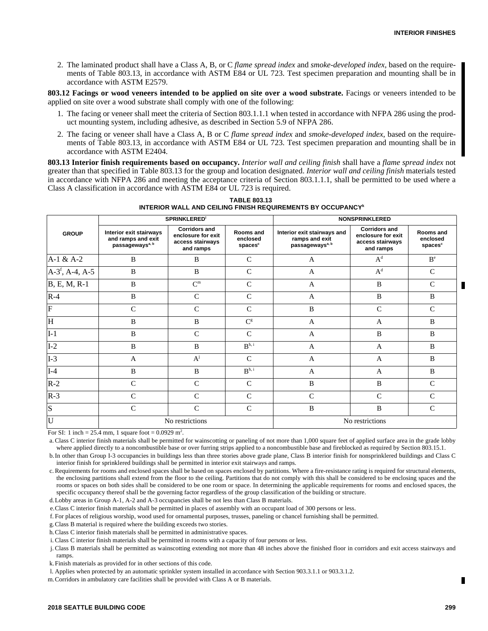2. The laminated product shall have a Class A, B, or C *flame spread index* and *smoke-developed index*, based on the requirements of Table 803.13, in accordance with ASTM E84 or UL 723. Test specimen preparation and mounting shall be in accordance with ASTM E2579.

**803.12 Facings or wood veneers intended to be applied on site over a wood substrate.** Facings or veneers intended to be applied on site over a wood substrate shall comply with one of the following:

- 1. The facing or veneer shall meet the criteria of Section 803.1.1.1 when tested in accordance with NFPA 286 using the product mounting system, including adhesive, as described in Section 5.9 of NFPA 286.
- 2. The facing or veneer shall have a Class A, B or C *flame spread index* and *smoke-developed index*, based on the requirements of Table 803.13, in accordance with ASTM E84 or UL 723. Test specimen preparation and mounting shall be in accordance with ASTM E2404.

**803.13 Interior finish requirements based on occupancy.** *Interior wall and ceiling finish* shall have a *flame spread index* not greater than that specified in Table 803.13 for the group and location designated. *Interior wall and ceiling finish* materials tested in accordance with NFPA 286 and meeting the acceptance criteria of Section 803.1.1.1, shall be permitted to be used where a Class A classification in accordance with ASTM E84 or UL 723 is required.

| <b>GROUP</b>            | <b>SPRINKLERED</b>                                                           |                                                                             |                                              | <b>NONSPRINKLERED</b>                                                        |                                                                             |                                              |
|-------------------------|------------------------------------------------------------------------------|-----------------------------------------------------------------------------|----------------------------------------------|------------------------------------------------------------------------------|-----------------------------------------------------------------------------|----------------------------------------------|
|                         | Interior exit stairways<br>and ramps and exit<br>passageways <sup>a, b</sup> | <b>Corridors and</b><br>enclosure for exit<br>access stairways<br>and ramps | Rooms and<br>enclosed<br>spaces <sup>c</sup> | Interior exit stairways and<br>ramps and exit<br>passageways <sup>a, b</sup> | <b>Corridors and</b><br>enclosure for exit<br>access stairways<br>and ramps | Rooms and<br>enclosed<br>spaces <sup>c</sup> |
| $A-1 & A-2$             | B                                                                            | B                                                                           | $\mathcal{C}$                                | $\overline{A}$                                                               | $A^d$                                                                       | B <sup>e</sup>                               |
| $A-3f, A-4, A-5$        | B                                                                            | B                                                                           | $\mathcal{C}$                                | $\overline{A}$                                                               | $A^d$                                                                       | $\mathcal{C}$                                |
| $B, E, M, R-1$          | B                                                                            | C <sup>m</sup>                                                              | $\mathcal{C}$                                | $\mathbf{A}$                                                                 | B                                                                           | $\mathcal{C}$                                |
| $R-4$                   | B                                                                            | $\mathcal{C}$                                                               | $\mathcal{C}$                                | $\mathbf{A}$                                                                 | B                                                                           | B                                            |
| $\mathbf F$             | $\mathbf C$                                                                  | $\mathsf{C}$                                                                | $\mathbf C$                                  | B                                                                            | $\mathsf{C}$                                                                | $\mathsf{C}$                                 |
| H                       | B                                                                            | B                                                                           | C <sup>g</sup>                               | $\overline{A}$                                                               | A                                                                           | B                                            |
| $I-1$                   | $\, {\bf B}$                                                                 | $\mathcal{C}$                                                               | $\mathbf C$                                  | $\mathbf{A}$                                                                 | B                                                                           | B                                            |
| $I-2$                   | B                                                                            | B                                                                           | $\mathbf{B}^{\text{h, i}}$                   | $\overline{A}$                                                               | $\overline{A}$                                                              | B                                            |
| $I-3$                   | A                                                                            | $A^j$                                                                       | $\mathcal{C}$                                | $\mathbf{A}$                                                                 | A                                                                           | B                                            |
| $I-4$                   | B                                                                            | $\mathbf{B}$                                                                | B <sup>h, i</sup>                            | $\overline{A}$                                                               | $\overline{A}$                                                              | B                                            |
| $R-2$                   | $\mathcal{C}$                                                                | $\mathcal{C}$                                                               | $\mathcal{C}$                                | B                                                                            | B                                                                           | $\mathsf{C}$                                 |
| $R-3$                   | $\mathcal{C}$                                                                | $\mathcal{C}$                                                               | $\mathcal{C}$                                | $\mathcal{C}$                                                                | $\mathcal{C}$                                                               | $\mathcal{C}$                                |
| $\overline{\mathbf{s}}$ | $\mathbf C$                                                                  | $\mathcal{C}$                                                               | $\mathcal{C}$                                | B                                                                            | B                                                                           | $\mathcal{C}$                                |
| $\overline{\mathtt{U}}$ | No restrictions                                                              |                                                                             |                                              | No restrictions                                                              |                                                                             |                                              |

**TABLE 803.13 INTERIOR WALL AND CEILING FINISH REQUIREMENTS BY OCCUPANCY<sup>k</sup>**

For SI: 1 inch = 25.4 mm, 1 square foot =  $0.0929$  m<sup>2</sup>.

a. Class C interior finish materials shall be permitted for wainscotting or paneling of not more than 1,000 square feet of applied surface area in the grade lobby where applied directly to a noncombustible base or over furring strips applied to a noncombustible base and fireblocked as required by Section 803.15.1.

b.In other than Group I-3 occupancies in buildings less than three stories above grade plane, Class B interior finish for nonsprinklered buildings and Class C interior finish for sprinklered buildings shall be permitted in interior exit stairways and ramps.

c. Requirements for rooms and enclosed spaces shall be based on spaces enclosed by partitions. Where a fire-resistance rating is required for structural elements, the enclosing partitions shall extend from the floor to the ceiling. Partitions that do not comply with this shall be considered to be enclosing spaces and the rooms or spaces on both sides shall be considered to be one room or space. In determining the applicable requirements for rooms and enclosed spaces, the specific occupancy thereof shall be the governing factor regardless of the group classification of the building or structure.

d.Lobby areas in Group A-1, A-2 and A-3 occupancies shall be not less than Class B materials.

e.Class C interior finish materials shall be permitted in places of assembly with an occupant load of 300 persons or less.

f. For places of religious worship, wood used for ornamental purposes, trusses, paneling or chancel furnishing shall be permitted.

g.Class B material is required where the building exceeds two stories.

h.Class C interior finish materials shall be permitted in administrative spaces.

i. Class C interior finish materials shall be permitted in rooms with a capacity of four persons or less.

j. Class B materials shall be permitted as wainscotting extending not more than 48 inches above the finished floor in corridors and exit access stairways and ramps.

k.Finish materials as provided for in other sections of this code.

l. Applies when protected by an automatic sprinkler system installed in accordance with Section 903.3.1.1 or 903.3.1.2.

m.Corridors in ambulatory care facilities shall be provided with Class A or B materials.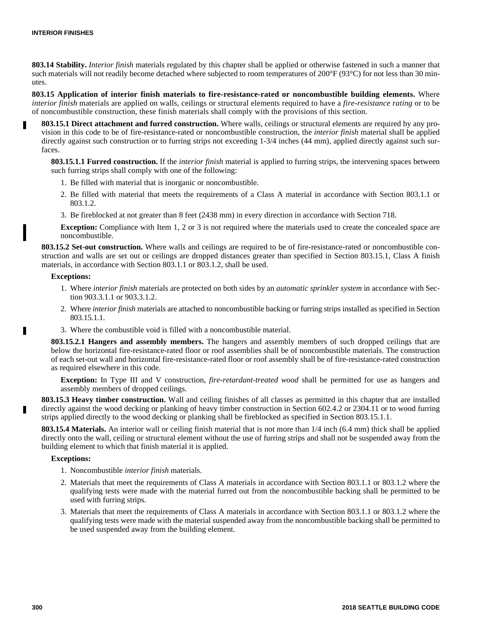**803.14 Stability.** *Interior finish* materials regulated by this chapter shall be applied or otherwise fastened in such a manner that such materials will not readily become detached where subjected to room temperatures of 200°F (93°C) for not less than 30 minutes.

**803.15 Application of interior finish materials to fire-resistance-rated or noncombustible building elements.** Where *interior finish* materials are applied on walls, ceilings or structural elements required to have a *fire-resistance rating* or to be of noncombustible construction, these finish materials shall comply with the provisions of this section.

**803.15.1 Direct attachment and furred construction.** Where walls, ceilings or structural elements are required by any provision in this code to be of fire-resistance-rated or noncombustible construction, the *interior finish* material shall be applied directly against such construction or to furring strips not exceeding 1-3/4 inches (44 mm), applied directly against such surfaces.

**803.15.1.1 Furred construction.** If the *interior finish* material is applied to furring strips, the intervening spaces between such furring strips shall comply with one of the following:

- 1. Be filled with material that is inorganic or noncombustible.
- 2. Be filled with material that meets the requirements of a Class A material in accordance with Section 803.1.1 or 803.1.2.
- 3. Be fireblocked at not greater than 8 feet (2438 mm) in every direction in accordance with Section 718.

**Exception:** Compliance with Item 1, 2 or 3 is not required where the materials used to create the concealed space are noncombustible.

**803.15.2 Set-out construction.** Where walls and ceilings are required to be of fire-resistance-rated or noncombustible construction and walls are set out or ceilings are dropped distances greater than specified in Section 803.15.1, Class A finish materials, in accordance with Section 803.1.1 or 803.1.2, shall be used.

#### **Exceptions:**

- 1. Where *interior finish* materials are protected on both sides by an *automatic sprinkler system* in accordance with Section 903.3.1.1 or 903.3.1.2.
- 2. Where *interior finish* materials are attached to noncombustible backing or furring strips installed as specified in Section 803.15.1.1.
- 3. Where the combustible void is filled with a noncombustible material.

**803.15.2.1 Hangers and assembly members.** The hangers and assembly members of such dropped ceilings that are below the horizontal fire-resistance-rated floor or roof assemblies shall be of noncombustible materials. The construction of each set-out wall and horizontal fire-resistance-rated floor or roof assembly shall be of fire-resistance-rated construction as required elsewhere in this code.

**Exception:** In Type III and V construction, *fire-retardant-treated wood* shall be permitted for use as hangers and assembly members of dropped ceilings.

**803.15.3 Heavy timber construction.** Wall and ceiling finishes of all classes as permitted in this chapter that are installed directly against the wood decking or planking of heavy timber construction in Section 602.4.2 or 2304.11 or to wood furring strips applied directly to the wood decking or planking shall be fireblocked as specified in Section 803.15.1.1.

**803.15.4 Materials.** An interior wall or ceiling finish material that is not more than 1/4 inch (6.4 mm) thick shall be applied directly onto the wall, ceiling or structural element without the use of furring strips and shall not be suspended away from the building element to which that finish material it is applied.

#### **Exceptions:**

- 1. Noncombustible *interior finish* materials.
- 2. Materials that meet the requirements of Class A materials in accordance with Section 803.1.1 or 803.1.2 where the qualifying tests were made with the material furred out from the noncombustible backing shall be permitted to be used with furring strips.
- 3. Materials that meet the requirements of Class A materials in accordance with Section 803.1.1 or 803.1.2 where the qualifying tests were made with the material suspended away from the noncombustible backing shall be permitted to be used suspended away from the building element.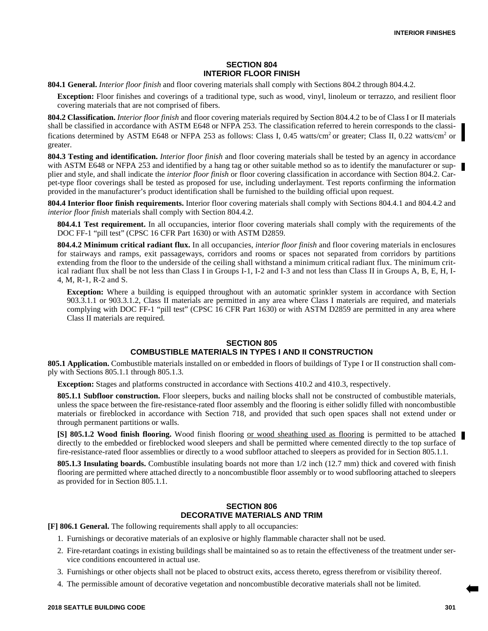## **SECTION 804 INTERIOR FLOOR FINISH**

**804.1 General.** *Interior floor finish* and floor covering materials shall comply with Sections 804.2 through 804.4.2.

**Exception:** Floor finishes and coverings of a traditional type, such as wood, vinyl, linoleum or terrazzo, and resilient floor covering materials that are not comprised of fibers.

**804.2 Classification.** *Interior floor finish* and floor covering materials required by Section 804.4.2 to be of Class I or II materials shall be classified in accordance with ASTM E648 or NFPA 253. The classification referred to herein corresponds to the classifications determined by ASTM E648 or NFPA 253 as follows: Class I, 0.45 watts/cm<sup>2</sup> or greater; Class II, 0.22 watts/cm<sup>2</sup> or greater.

**804.3 Testing and identification.** *Interior floor finish* and floor covering materials shall be tested by an agency in accordance with ASTM E648 or NFPA 253 and identified by a hang tag or other suitable method so as to identify the manufacturer or supplier and style, and shall indicate the *interior floor finish* or floor covering classification in accordance with Section 804.2. Carpet-type floor coverings shall be tested as proposed for use, including underlayment. Test reports confirming the information provided in the manufacturer's product identification shall be furnished to the building official upon request.

**804.4 Interior floor finish requirements.** Interior floor covering materials shall comply with Sections 804.4.1 and 804.4.2 and *interior floor finish* materials shall comply with Section 804.4.2.

**804.4.1 Test requirement.** In all occupancies, interior floor covering materials shall comply with the requirements of the DOC FF-1 "pill test" (CPSC 16 CFR Part 1630) or with ASTM D2859.

**804.4.2 Minimum critical radiant flux.** In all occupancies, *interior floor finish* and floor covering materials in enclosures for stairways and ramps, exit passageways, corridors and rooms or spaces not separated from corridors by partitions extending from the floor to the underside of the ceiling shall withstand a minimum critical radiant flux. The minimum critical radiant flux shall be not less than Class I in Groups I-1, I-2 and I-3 and not less than Class II in Groups A, B, E, H, I-4, M, R-1, R-2 and S.

**Exception:** Where a building is equipped throughout with an automatic sprinkler system in accordance with Section 903.3.1.1 or 903.3.1.2, Class II materials are permitted in any area where Class I materials are required, and materials complying with DOC FF-1 "pill test" (CPSC 16 CFR Part 1630) or with ASTM D2859 are permitted in any area where Class II materials are required.

# **SECTION 805 COMBUSTIBLE MATERIALS IN TYPES I AND II CONSTRUCTION**

**805.1 Application.** Combustible materials installed on or embedded in floors of buildings of Type I or II construction shall comply with Sections 805.1.1 through 805.1.3.

**Exception:** Stages and platforms constructed in accordance with Sections 410.2 and 410.3, respectively.

**805.1.1 Subfloor construction.** Floor sleepers, bucks and nailing blocks shall not be constructed of combustible materials, unless the space between the fire-resistance-rated floor assembly and the flooring is either solidly filled with noncombustible materials or fireblocked in accordance with Section 718, and provided that such open spaces shall not extend under or through permanent partitions or walls.

**[S] 805.1.2 Wood finish flooring.** Wood finish flooring or wood sheathing used as flooring is permitted to be attached directly to the embedded or fireblocked wood sleepers and shall be permitted where cemented directly to the top surface of fire-resistance-rated floor assemblies or directly to a wood subfloor attached to sleepers as provided for in Section 805.1.1.

**805.1.3 Insulating boards.** Combustible insulating boards not more than 1/2 inch (12.7 mm) thick and covered with finish flooring are permitted where attached directly to a noncombustible floor assembly or to wood subflooring attached to sleepers as provided for in Section 805.1.1.

# **SECTION 806 DECORATIVE MATERIALS AND TRIM**

**[F] 806.1 General.** The following requirements shall apply to all occupancies:

- 1. Furnishings or decorative materials of an explosive or highly flammable character shall not be used.
- 2. Fire-retardant coatings in existing buildings shall be maintained so as to retain the effectiveness of the treatment under service conditions encountered in actual use.
- 3. Furnishings or other objects shall not be placed to obstruct exits, access thereto, egress therefrom or visibility thereof.
- 4. The permissible amount of decorative vegetation and noncombustible decorative materials shall not be limited.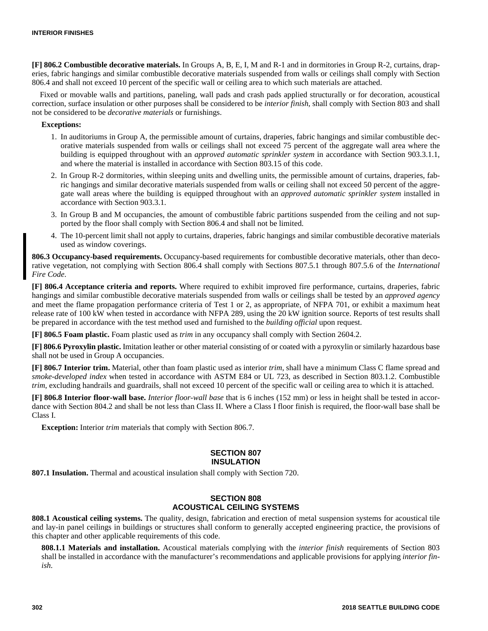**[F] 806.2 Combustible decorative materials.** In Groups A, B, E, I, M and R-1 and in dormitories in Group R-2, curtains, draperies, fabric hangings and similar combustible decorative materials suspended from walls or ceilings shall comply with Section 806.4 and shall not exceed 10 percent of the specific wall or ceiling area to which such materials are attached.

Fixed or movable walls and partitions, paneling, wall pads and crash pads applied structurally or for decoration, acoustical correction, surface insulation or other purposes shall be considered to be *interior finish,* shall comply with Section 803 and shall not be considered to be *decorative materials* or furnishings.

#### **Exceptions:**

- 1. In auditoriums in Group A, the permissible amount of curtains, draperies, fabric hangings and similar combustible decorative materials suspended from walls or ceilings shall not exceed 75 percent of the aggregate wall area where the building is equipped throughout with an *approved automatic sprinkler system* in accordance with Section 903.3.1.1, and where the material is installed in accordance with Section 803.15 of this code.
- 2. In Group R-2 dormitories, within sleeping units and dwelling units, the permissible amount of curtains, draperies, fabric hangings and similar decorative materials suspended from walls or ceiling shall not exceed 50 percent of the aggregate wall areas where the building is equipped throughout with an *approved automatic sprinkler system* installed in accordance with Section 903.3.1.
- 3. In Group B and M occupancies, the amount of combustible fabric partitions suspended from the ceiling and not supported by the floor shall comply with Section 806.4 and shall not be limited.
- 4. The 10-percent limit shall not apply to curtains, draperies, fabric hangings and similar combustible decorative materials used as window coverings.

**806.3 Occupancy-based requirements.** Occupancy-based requirements for combustible decorative materials, other than decorative vegetation, not complying with Section 806.4 shall comply with Sections 807.5.1 through 807.5.6 of the *International Fire Code*.

**[F] 806.4 Acceptance criteria and reports.** Where required to exhibit improved fire performance, curtains, draperies, fabric hangings and similar combustible decorative materials suspended from walls or ceilings shall be tested by an *approved agency* and meet the flame propagation performance criteria of Test 1 or 2, as appropriate, of NFPA 701, or exhibit a maximum heat release rate of 100 kW when tested in accordance with NFPA 289, using the 20 kW ignition source. Reports of test results shall be prepared in accordance with the test method used and furnished to the *building official* upon request.

**[F] 806.5 Foam plastic.** Foam plastic used as *trim* in any occupancy shall comply with Section 2604.2.

**[F] 806.6 Pyroxylin plastic.** Imitation leather or other material consisting of or coated with a pyroxylin or similarly hazardous base shall not be used in Group A occupancies.

**[F] 806.7 Interior trim.** Material, other than foam plastic used as interior *trim*, shall have a minimum Class C flame spread and *smoke-developed index* when tested in accordance with ASTM E84 or UL 723, as described in Section 803.1.2. Combustible *trim*, excluding handrails and guardrails, shall not exceed 10 percent of the specific wall or ceiling area to which it is attached.

**[F] 806.8 Interior floor-wall base.** *Interior floor-wall base* that is 6 inches (152 mm) or less in height shall be tested in accordance with Section 804.2 and shall be not less than Class II. Where a Class I floor finish is required, the floor-wall base shall be Class I.

**Exception:** Interior *trim* materials that comply with Section 806.7.

#### **SECTION 807 INSULATION**

**807.1 Insulation.** Thermal and acoustical insulation shall comply with Section 720.

#### **SECTION 808 ACOUSTICAL CEILING SYSTEMS**

**808.1 Acoustical ceiling systems.** The quality, design, fabrication and erection of metal suspension systems for acoustical tile and lay-in panel ceilings in buildings or structures shall conform to generally accepted engineering practice, the provisions of this chapter and other applicable requirements of this code.

**808.1.1 Materials and installation.** Acoustical materials complying with the *interior finish* requirements of Section 803 shall be installed in accordance with the manufacturer's recommendations and applicable provisions for applying *interior finish*.